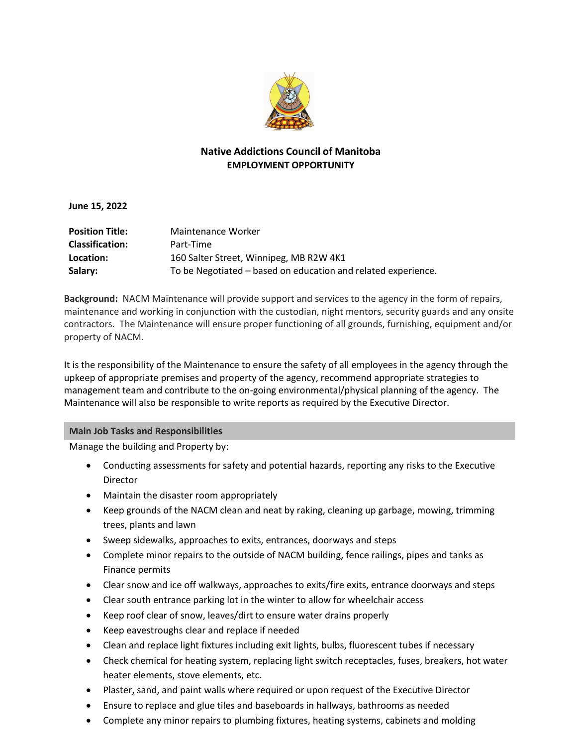

## **Native Addictions Council of Manitoba EMPLOYMENT OPPORTUNITY**

**June 15, 2022**

| <b>Position Title:</b> | Maintenance Worker                                            |
|------------------------|---------------------------------------------------------------|
| <b>Classification:</b> | Part-Time                                                     |
| Location:              | 160 Salter Street, Winnipeg, MB R2W 4K1                       |
| Salary:                | To be Negotiated – based on education and related experience. |

**Background:** NACM Maintenance will provide support and services to the agency in the form of repairs, maintenance and working in conjunction with the custodian, night mentors, security guards and any onsite contractors. The Maintenance will ensure proper functioning of all grounds, furnishing, equipment and/or property of NACM.

It is the responsibility of the Maintenance to ensure the safety of all employees in the agency through the upkeep of appropriate premises and property of the agency, recommend appropriate strategies to management team and contribute to the on-going environmental/physical planning of the agency. The Maintenance will also be responsible to write reports as required by the Executive Director.

## **Main Job Tasks and Responsibilities**

Manage the building and Property by:

- Conducting assessments for safety and potential hazards, reporting any risks to the Executive Director
- Maintain the disaster room appropriately
- Keep grounds of the NACM clean and neat by raking, cleaning up garbage, mowing, trimming trees, plants and lawn
- Sweep sidewalks, approaches to exits, entrances, doorways and steps
- Complete minor repairs to the outside of NACM building, fence railings, pipes and tanks as Finance permits
- Clear snow and ice off walkways, approaches to exits/fire exits, entrance doorways and steps
- Clear south entrance parking lot in the winter to allow for wheelchair access
- Keep roof clear of snow, leaves/dirt to ensure water drains properly
- Keep eavestroughs clear and replace if needed
- Clean and replace light fixtures including exit lights, bulbs, fluorescent tubes if necessary
- Check chemical for heating system, replacing light switch receptacles, fuses, breakers, hot water heater elements, stove elements, etc.
- Plaster, sand, and paint walls where required or upon request of the Executive Director
- Ensure to replace and glue tiles and baseboards in hallways, bathrooms as needed
- Complete any minor repairs to plumbing fixtures, heating systems, cabinets and molding